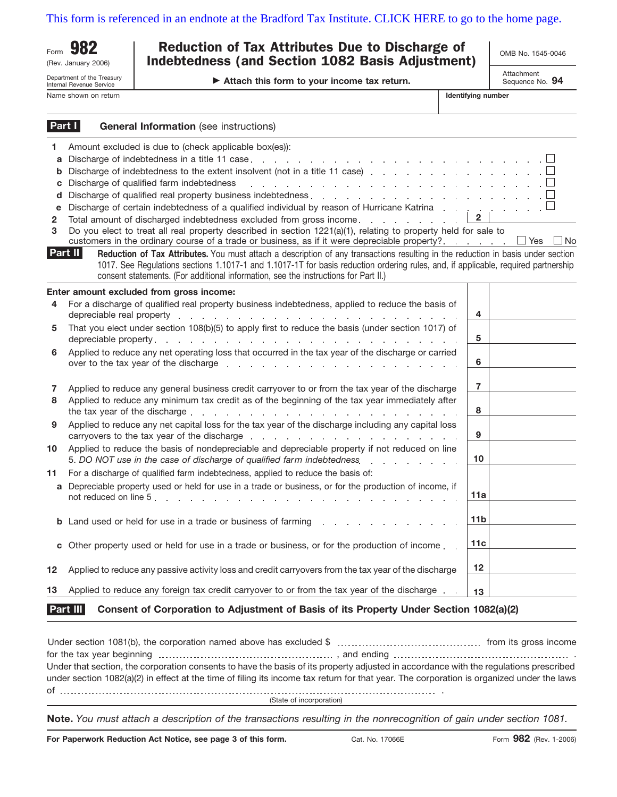[This form is referenced in an endnote at the Bradford Tax Institute. CLICK HERE to go to the home page.](http://www.bradfordtaxinstitute.com/)

(Rev. January 2006)

Department of the Treasury

#### Internal Revenue Service Name shown on return **Identifying numbers and identifying numbers of the state of the state of the state of the state of the state of the state of the state of the state of the state of the state of the state of the state**

### Form **982** Reduction of Tax Attributes Due to Discharge of and the No. 1545-0046 Indebtedness (and Section 1082 Basis Adjustment)

**Attach this form to your income tax return.**

|  | <b>OMB NO. 1545-0046</b> |  |  |
|--|--------------------------|--|--|
|  |                          |  |  |

Attachment Sequence No. **94**

| lentifying number |  |
|-------------------|--|
|-------------------|--|

|                                                    | Part I<br><b>General Information</b> (see instructions)                                                                                                                                                                                                                                                                                                                                                                                                                                                                                                                                                                                                                              |                 |       |
|----------------------------------------------------|--------------------------------------------------------------------------------------------------------------------------------------------------------------------------------------------------------------------------------------------------------------------------------------------------------------------------------------------------------------------------------------------------------------------------------------------------------------------------------------------------------------------------------------------------------------------------------------------------------------------------------------------------------------------------------------|-----------------|-------|
| 1.<br>a<br>b<br>C<br>d<br>e<br>$\overline{2}$<br>3 | Amount excluded is due to (check applicable box(es)):<br>Discharge of indebtedness to the extent insolvent (not in a title 11 case) $\ldots$ ,<br>Discharge of qualified farm indebtedness<br>and the contract of the contract of the contract of the contract of the contract of<br>Discharge of certain indebtedness of a qualified individual by reason of Hurricane Katrina<br>Total amount of discharged indebtedness excluded from gross income.<br>Do you elect to treat all real property described in section 1221(a)(1), relating to property held for sale to<br>customers in the ordinary course of a trade or business, as if it were depreciable property?. $\Box$ Yes | $\mathbf{2}$    | ∟l No |
|                                                    | Part II<br>Reduction of Tax Attributes. You must attach a description of any transactions resulting in the reduction in basis under section<br>1017. See Regulations sections 1.1017-1 and 1.1017-1T for basis reduction ordering rules, and, if applicable, required partnership<br>consent statements. (For additional information, see the instructions for Part II.)                                                                                                                                                                                                                                                                                                             |                 |       |
|                                                    | Enter amount excluded from gross income:                                                                                                                                                                                                                                                                                                                                                                                                                                                                                                                                                                                                                                             |                 |       |
| 4                                                  | For a discharge of qualified real property business indebtedness, applied to reduce the basis of                                                                                                                                                                                                                                                                                                                                                                                                                                                                                                                                                                                     | 4               |       |
| 5                                                  | That you elect under section 108(b)(5) to apply first to reduce the basis (under section 1017) of                                                                                                                                                                                                                                                                                                                                                                                                                                                                                                                                                                                    | 5               |       |
| 6                                                  | Applied to reduce any net operating loss that occurred in the tax year of the discharge or carried<br>over to the tax year of the discharge response to the state of the discharge response to the state of the state of the state of the state of the state of the state of the state of the state of the state of the state of the                                                                                                                                                                                                                                                                                                                                                 | 6               |       |
| 7                                                  | Applied to reduce any general business credit carryover to or from the tax year of the discharge                                                                                                                                                                                                                                                                                                                                                                                                                                                                                                                                                                                     | $\overline{7}$  |       |
| 8                                                  | Applied to reduce any minimum tax credit as of the beginning of the tax year immediately after                                                                                                                                                                                                                                                                                                                                                                                                                                                                                                                                                                                       | 8               |       |
| 9                                                  | Applied to reduce any net capital loss for the tax year of the discharge including any capital loss                                                                                                                                                                                                                                                                                                                                                                                                                                                                                                                                                                                  | 9               |       |
| 10                                                 | Applied to reduce the basis of nondepreciable and depreciable property if not reduced on line<br>5. DO NOT use in the case of discharge of qualified farm indebtedness.                                                                                                                                                                                                                                                                                                                                                                                                                                                                                                              | 10 <sup>1</sup> |       |
| 11                                                 | For a discharge of qualified farm indebtedness, applied to reduce the basis of:                                                                                                                                                                                                                                                                                                                                                                                                                                                                                                                                                                                                      |                 |       |
|                                                    | a Depreciable property used or held for use in a trade or business, or for the production of income, if<br>not reduced on line 5.                                                                                                                                                                                                                                                                                                                                                                                                                                                                                                                                                    | 11a             |       |
|                                                    | <b>b</b> Land used or held for use in a trade or business of farming                                                                                                                                                                                                                                                                                                                                                                                                                                                                                                                                                                                                                 | 11 <sub>b</sub> |       |
| C                                                  | Other property used or held for use in a trade or business, or for the production of income.                                                                                                                                                                                                                                                                                                                                                                                                                                                                                                                                                                                         | 11c             |       |
| 12                                                 | Applied to reduce any passive activity loss and credit carryovers from the tax year of the discharge                                                                                                                                                                                                                                                                                                                                                                                                                                                                                                                                                                                 | 12 <sup>2</sup> |       |
| 13                                                 | Applied to reduce any foreign tax credit carryover to or from the tax year of the discharge.                                                                                                                                                                                                                                                                                                                                                                                                                                                                                                                                                                                         | 13              |       |
|                                                    |                                                                                                                                                                                                                                                                                                                                                                                                                                                                                                                                                                                                                                                                                      |                 |       |

#### **Consent of Corporation to Adjustment of Basis of its Property Under Section 1082(a)(2) Part III**

Under section 1081(b), the corporation named above has excluded \$ from its gross income for the tax year beginning , and ending . Under that section, the corporation consents to have the basis of its property adjusted in accordance with the regulations prescribed under section 1082(a)(2) in effect at the time of filing its income tax return for that year. The corporation is organized under the laws of .

(State of incorporation)

**Note.** *You must attach a description of the transactions resulting in the nonrecognition of gain under section 1081.*

**For Paperwork Reduction Act Notice, see page 3 of this form.**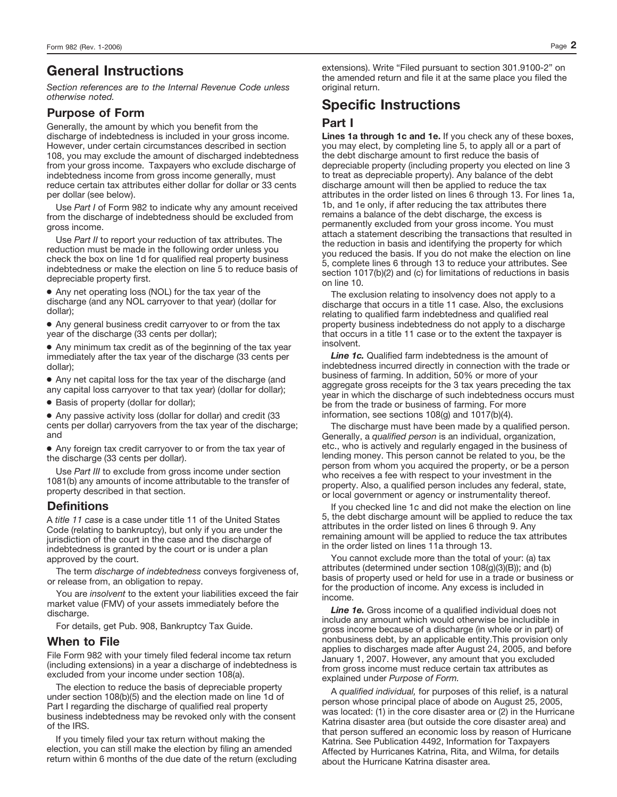## **General Instructions**

*Section references are to the Internal Revenue Code unless otherwise noted.*

#### **Purpose of Form**

Generally, the amount by which you benefit from the discharge of indebtedness is included in your gross income. However, under certain circumstances described in section 108, you may exclude the amount of discharged indebtedness from your gross income. Taxpayers who exclude discharge of indebtedness income from gross income generally, must reduce certain tax attributes either dollar for dollar or 33 cents per dollar (see below).

Use *Part I* of Form 982 to indicate why any amount received from the discharge of indebtedness should be excluded from gross income.

Use *Part II* to report your reduction of tax attributes. The reduction must be made in the following order unless you check the box on line 1d for qualified real property business indebtedness or make the election on line 5 to reduce basis of depreciable property first.

● Any net operating loss (NOL) for the tax year of the discharge (and any NOL carryover to that year) (dollar for dollar);

● Any general business credit carryover to or from the tax year of the discharge (33 cents per dollar);

● Any minimum tax credit as of the beginning of the tax year immediately after the tax year of the discharge (33 cents per dollar);

● Any net capital loss for the tax year of the discharge (and any capital loss carryover to that tax year) (dollar for dollar);

● Basis of property (dollar for dollar);

● Any passive activity loss (dollar for dollar) and credit (33 cents per dollar) carryovers from the tax year of the discharge; and

● Any foreign tax credit carryover to or from the tax year of the discharge (33 cents per dollar).

Use *Part III* to exclude from gross income under section 1081(b) any amounts of income attributable to the transfer of property described in that section.

### **Definitions**

A *title 11 case* is a case under title 11 of the United States Code (relating to bankruptcy), but only if you are under the jurisdiction of the court in the case and the discharge of indebtedness is granted by the court or is under a plan approved by the court.

The term *discharge of indebtedness* conveys forgiveness of, or release from, an obligation to repay.

You are *insolvent* to the extent your liabilities exceed the fair market value (FMV) of your assets immediately before the discharge.

For details, get Pub. 908, Bankruptcy Tax Guide.

#### **When to File**

File Form 982 with your timely filed federal income tax return (including extensions) in a year a discharge of indebtedness is excluded from your income under section 108(a).

The election to reduce the basis of depreciable property under section 108(b)(5) and the election made on line 1d of Part I regarding the discharge of qualified real property business indebtedness may be revoked only with the consent of the IRS.

If you timely filed your tax return without making the election, you can still make the election by filing an amended return within 6 months of the due date of the return (excluding

extensions). Write "Filed pursuant to section 301.9100-2" on the amended return and file it at the same place you filed the original return.

# **Specific Instructions**

#### **Part I**

**Lines 1a through 1c and 1e.** If you check any of these boxes, you may elect, by completing line 5, to apply all or a part of the debt discharge amount to first reduce the basis of depreciable property (including property you elected on line 3 to treat as depreciable property). Any balance of the debt discharge amount will then be applied to reduce the tax attributes in the order listed on lines 6 through 13. For lines 1a, 1b, and 1e only, if after reducing the tax attributes there remains a balance of the debt discharge, the excess is permanently excluded from your gross income. You must attach a statement describing the transactions that resulted in the reduction in basis and identifying the property for which you reduced the basis. If you do not make the election on line 5, complete lines 6 through 13 to reduce your attributes. See section 1017(b)(2) and (c) for limitations of reductions in basis on line 10.

The exclusion relating to insolvency does not apply to a discharge that occurs in a title 11 case. Also, the exclusions relating to qualified farm indebtedness and qualified real property business indebtedness do not apply to a discharge that occurs in a title 11 case or to the extent the taxpayer is insolvent.

*Line 1c.* Qualified farm indebtedness is the amount of indebtedness incurred directly in connection with the trade or business of farming. In addition, 50% or more of your aggregate gross receipts for the 3 tax years preceding the tax year in which the discharge of such indebtedness occurs must be from the trade or business of farming. For more information, see sections 108(g) and 1017(b)(4).

The discharge must have been made by a qualified person. Generally, a *qualified person* is an individual, organization, etc., who is actively and regularly engaged in the business of lending money. This person cannot be related to you, be the person from whom you acquired the property, or be a person who receives a fee with respect to your investment in the property. Also, a qualified person includes any federal, state, or local government or agency or instrumentality thereof.

If you checked line 1c and did not make the election on line 5, the debt discharge amount will be applied to reduce the tax attributes in the order listed on lines 6 through 9. Any remaining amount will be applied to reduce the tax attributes in the order listed on lines 11a through 13.

You cannot exclude more than the total of your: (a) tax attributes (determined under section 108(g)(3)(B)); and (b) basis of property used or held for use in a trade or business or for the production of income. Any excess is included in income.

*Line 1e.* Gross income of a qualified individual does not include any amount which would otherwise be includible in gross income because of a discharge (in whole or in part) of nonbusiness debt, by an applicable entity.This provision only applies to discharges made after August 24, 2005, and before January 1, 2007. However, any amount that you excluded from gross income must reduce certain tax attributes as explained under *Purpose of Form.*

A *qualified individual,* for purposes of this relief, is a natural person whose principal place of abode on August 25, 2005, was located: (1) in the core disaster area or (2) in the Hurricane Katrina disaster area (but outside the core disaster area) and that person suffered an economic loss by reason of Hurricane Katrina. See Publication 4492, Information for Taxpayers Affected by Hurricanes Katrina, Rita, and Wilma, for details about the Hurricane Katrina disaster area.